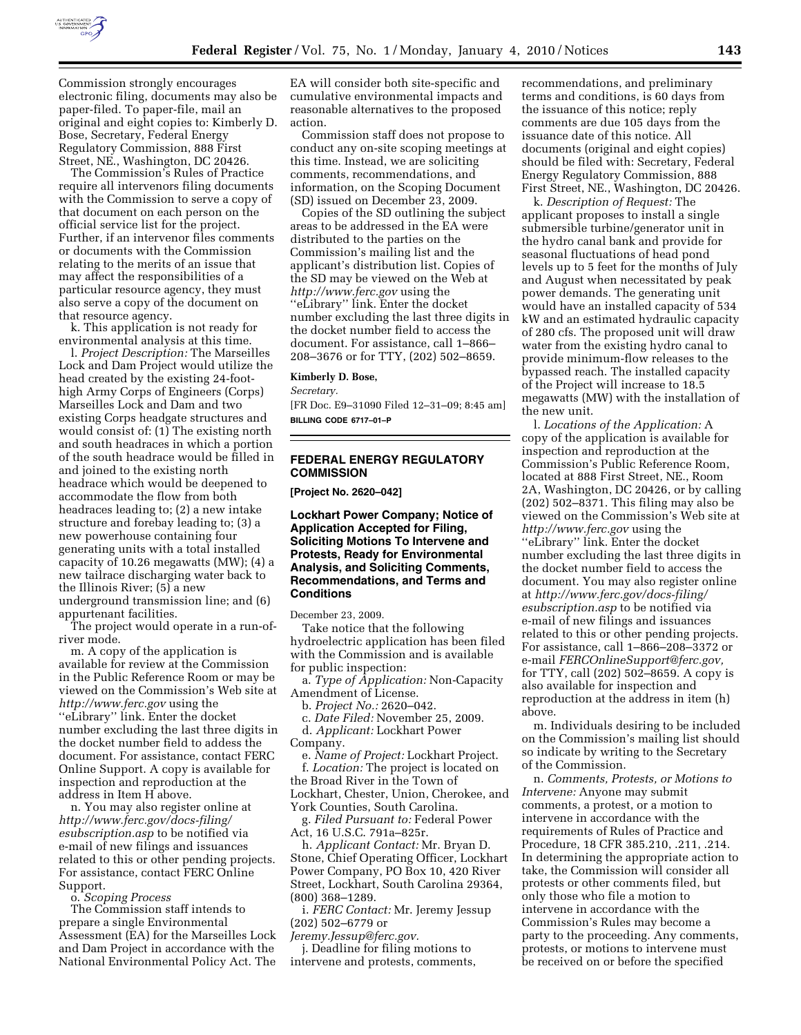

Commission strongly encourages electronic filing, documents may also be paper-filed. To paper-file, mail an original and eight copies to: Kimberly D. Bose, Secretary, Federal Energy Regulatory Commission, 888 First Street, NE., Washington, DC 20426.

The Commission's Rules of Practice require all intervenors filing documents with the Commission to serve a copy of that document on each person on the official service list for the project. Further, if an intervenor files comments or documents with the Commission relating to the merits of an issue that may affect the responsibilities of a particular resource agency, they must also serve a copy of the document on that resource agency.

k. This application is not ready for environmental analysis at this time.

l. *Project Description:* The Marseilles Lock and Dam Project would utilize the head created by the existing 24-foothigh Army Corps of Engineers (Corps) Marseilles Lock and Dam and two existing Corps headgate structures and would consist of: (1) The existing north and south headraces in which a portion of the south headrace would be filled in and joined to the existing north headrace which would be deepened to accommodate the flow from both headraces leading to; (2) a new intake structure and forebay leading to; (3) a new powerhouse containing four generating units with a total installed capacity of 10.26 megawatts (MW); (4) a new tailrace discharging water back to the Illinois River; (5) a new underground transmission line; and (6) appurtenant facilities.

The project would operate in a run-ofriver mode.

m. A copy of the application is available for review at the Commission in the Public Reference Room or may be viewed on the Commission's Web site at *http://www.ferc.gov* using the ''eLibrary'' link. Enter the docket number excluding the last three digits in the docket number field to addess the document. For assistance, contact FERC Online Support. A copy is available for inspection and reproduction at the address in Item H above.

n. You may also register online at *http://www.ferc.gov/docs-filing/ esubscription.asp* to be notified via e-mail of new filings and issuances related to this or other pending projects. For assistance, contact FERC Online Support.

o. *Scoping Process* 

The Commission staff intends to prepare a single Environmental Assessment (EA) for the Marseilles Lock and Dam Project in accordance with the National Environmental Policy Act. The

EA will consider both site-specific and cumulative environmental impacts and reasonable alternatives to the proposed action.

Commission staff does not propose to conduct any on-site scoping meetings at this time. Instead, we are soliciting comments, recommendations, and information, on the Scoping Document (SD) issued on December 23, 2009.

Copies of the SD outlining the subject areas to be addressed in the EA were distributed to the parties on the Commission's mailing list and the applicant's distribution list. Copies of the SD may be viewed on the Web at *http://www.ferc.gov* using the ''eLibrary'' link. Enter the docket number excluding the last three digits in the docket number field to access the document. For assistance, call 1–866– 208–3676 or for TTY, (202) 502–8659.

#### **Kimberly D. Bose,**

*Secretary.* 

[FR Doc. E9–31090 Filed 12–31–09; 8:45 am] **BILLING CODE 6717–01–P** 

# **FEDERAL ENERGY REGULATORY COMMISSION**

**[Project No. 2620–042]** 

## **Lockhart Power Company; Notice of Application Accepted for Filing, Soliciting Motions To Intervene and Protests, Ready for Environmental Analysis, and Soliciting Comments, Recommendations, and Terms and Conditions**

December 23, 2009.

Take notice that the following hydroelectric application has been filed with the Commission and is available for public inspection:

a. *Type of Application:* Non-Capacity Amendment of License.

b. *Project No.:* 2620–042.

c. *Date Filed:* November 25, 2009.

d. *Applicant:* Lockhart Power Company.

e. *Name of Project:* Lockhart Project. f. *Location:* The project is located on the Broad River in the Town of Lockhart, Chester, Union, Cherokee, and

York Counties, South Carolina.

g. *Filed Pursuant to:* Federal Power Act, 16 U.S.C. 791a–825r.

h. *Applicant Contact:* Mr. Bryan D. Stone, Chief Operating Officer, Lockhart Power Company, PO Box 10, 420 River Street, Lockhart, South Carolina 29364, (800) 368–1289.

i. *FERC Contact:* Mr. Jeremy Jessup (202) 502–6779 or

*Jeremy.Jessup@ferc.gov.* 

j. Deadline for filing motions to intervene and protests, comments, recommendations, and preliminary terms and conditions, is 60 days from the issuance of this notice; reply comments are due 105 days from the issuance date of this notice. All documents (original and eight copies) should be filed with: Secretary, Federal Energy Regulatory Commission, 888 First Street, NE., Washington, DC 20426.

k. *Description of Request:* The applicant proposes to install a single submersible turbine/generator unit in the hydro canal bank and provide for seasonal fluctuations of head pond levels up to 5 feet for the months of July and August when necessitated by peak power demands. The generating unit would have an installed capacity of 534 kW and an estimated hydraulic capacity of 280 cfs. The proposed unit will draw water from the existing hydro canal to provide minimum-flow releases to the bypassed reach. The installed capacity of the Project will increase to 18.5 megawatts (MW) with the installation of the new unit.

l. *Locations of the Application:* A copy of the application is available for inspection and reproduction at the Commission's Public Reference Room, located at 888 First Street, NE., Room 2A, Washington, DC 20426, or by calling (202) 502–8371. This filing may also be viewed on the Commission's Web site at *http://www.ferc.gov* using the ''eLibrary'' link. Enter the docket number excluding the last three digits in the docket number field to access the document. You may also register online at *http://www.ferc.gov/docs-filing/ esubscription.asp* to be notified via e-mail of new filings and issuances related to this or other pending projects. For assistance, call 1–866–208–3372 or e-mail *FERCOnlineSupport@ferc.gov,*  for TTY, call (202) 502–8659. A copy is also available for inspection and reproduction at the address in item (h) above.

m. Individuals desiring to be included on the Commission's mailing list should so indicate by writing to the Secretary of the Commission.

n. *Comments, Protests, or Motions to Intervene:* Anyone may submit comments, a protest, or a motion to intervene in accordance with the requirements of Rules of Practice and Procedure, 18 CFR 385.210, .211, .214. In determining the appropriate action to take, the Commission will consider all protests or other comments filed, but only those who file a motion to intervene in accordance with the Commission's Rules may become a party to the proceeding. Any comments, protests, or motions to intervene must be received on or before the specified